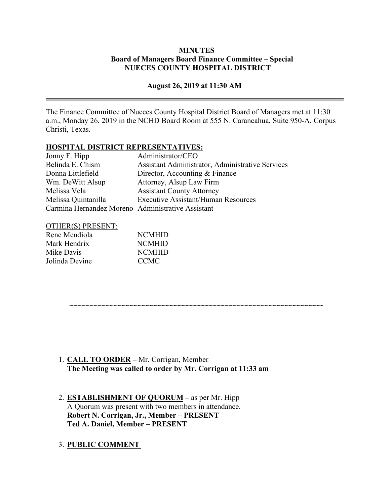## **MINUTES Board of Managers Board Finance Committee – Special NUECES COUNTY HOSPITAL DISTRICT**

## **August 26, 2019 at 11:30 AM**

The Finance Committee of Nueces County Hospital District Board of Managers met at 11:30 a.m., Monday 26, 2019 in the NCHD Board Room at 555 N. Carancahua, Suite 950-A, Corpus Christi, Texas.

**~~~~~~~~~~~~~~~~~~~~~~~~~~~~~~~~~~~~~~~~~~~~~~~~~~~~~~~~~~~~~~~~**

#### **HOSPITAL DISTRICT REPRESENTATIVES:**

| Jonny F. Hipp                                     | Administrator/CEO                                |
|---------------------------------------------------|--------------------------------------------------|
| Belinda E. Chism                                  | Assistant Administrator, Administrative Services |
| Donna Littlefield                                 | Director, Accounting & Finance                   |
| Wm. DeWitt Alsup                                  | Attorney, Alsup Law Firm                         |
| Melissa Vela                                      | <b>Assistant County Attorney</b>                 |
| Melissa Quintanilla                               | <b>Executive Assistant/Human Resources</b>       |
| Carmina Hernandez Moreno Administrative Assistant |                                                  |

#### OTHER(S) PRESENT:

| Rene Mendiola  | <b>NCMHID</b> |
|----------------|---------------|
| Mark Hendrix   | <b>NCMHID</b> |
| Mike Davis     | <b>NCMHID</b> |
| Jolinda Devine | <b>CCMC</b>   |

1. **CALL TO ORDER –** Mr. Corrigan, Member **The Meeting was called to order by Mr. Corrigan at 11:33 am**

2. **ESTABLISHMENT OF QUORUM –** as per Mr. Hipp A Quorum was present with two members in attendance. **Robert N. Corrigan, Jr., Member – PRESENT Ted A. Daniel, Member – PRESENT** 

## 3. **PUBLIC COMMENT**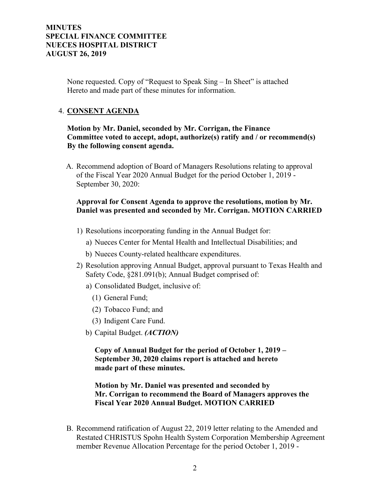## **MINUTES SPECIAL FINANCE COMMITTEE NUECES HOSPITAL DISTRICT AUGUST 26, 2019**

None requested. Copy of "Request to Speak Sing – In Sheet" is attached Hereto and made part of these minutes for information.

## 4. **CONSENT AGENDA**

## **Motion by Mr. Daniel, seconded by Mr. Corrigan, the Finance Committee voted to accept, adopt, authorize(s) ratify and / or recommend(s) By the following consent agenda.**

A. Recommend adoption of Board of Managers Resolutions relating to approval of the Fiscal Year 2020 Annual Budget for the period October 1, 2019 - September 30, 2020:

## **Approval for Consent Agenda to approve the resolutions, motion by Mr. Daniel was presented and seconded by Mr. Corrigan. MOTION CARRIED**

- 1) Resolutions incorporating funding in the Annual Budget for:
	- a) Nueces Center for Mental Health and Intellectual Disabilities; and
	- b) Nueces County-related healthcare expenditures.
- 2) Resolution approving Annual Budget, approval pursuant to Texas Health and Safety Code, §281.091(b); Annual Budget comprised of:
	- a) Consolidated Budget, inclusive of:
		- (1) General Fund;
		- (2) Tobacco Fund; and
		- (3) Indigent Care Fund.
	- b) Capital Budget. *(ACTION)*

**Copy of Annual Budget for the period of October 1, 2019 – September 30, 2020 claims report is attached and hereto made part of these minutes.**

## **Motion by Mr. Daniel was presented and seconded by Mr. Corrigan to recommend the Board of Managers approves the Fiscal Year 2020 Annual Budget. MOTION CARRIED**

B. Recommend ratification of August 22, 2019 letter relating to the Amended and Restated CHRISTUS Spohn Health System Corporation Membership Agreement member Revenue Allocation Percentage for the period October 1, 2019 -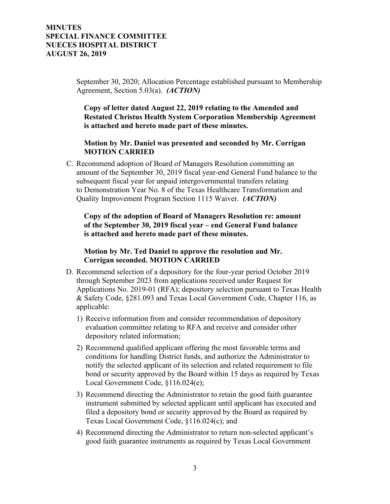## **MINUTES SPECIAL FINANCE COMMITTEE NUECES HOSPITAL DISTRICT AUGUST 26, 2019**

September 30, 2020; Allocation Percentage established pursuant to Membership Agreement, Section 5.03(a). *(ACTION)*

 **Copy of letter dated August 22, 2019 relating to the Amended and Restated Christus Health System Corporation Membership Agreement is attached and hereto made part of these minutes.** 

#### **Motion by Mr. Daniel was presented and seconded by Mr. Corrigan MOTION CARRIED**

C. Recommend adoption of Board of Managers Resolution committing an amount of the September 30, 2019 fiscal year-end General Fund balance to the subsequent fiscal year for unpaid intergovernmental transfers relating to Demonstration Year No. 8 of the Texas Healthcare Transformation and Quality Improvement Program Section 1115 Waiver. *(ACTION)*

 **Copy of the adoption of Board of Managers Resolution re: amount of the September 30, 2019 fiscal year – end General Fund balance is attached and hereto made part of these minutes.**

#### **Motion by Mr. Ted Daniel to approve the resolution and Mr. Corrigan seconded. MOTION CARRIED**

- D. Recommend selection of a depository for the four-year period October 2019 through September 2023 from applications received under Request for Applications No. 2019-01 (RFA); depository selection pursuant to Texas Health & Safety Code, §281.093 and Texas Local Government Code, Chapter 116, as applicable:
	- 1) Receive information from and consider recommendation of depository evaluation committee relating to RFA and receive and consider other depository related information;
	- 2) Recommend qualified applicant offering the most favorable terms and conditions for handling District funds, and authorize the Administrator to notify the selected applicant of its selection and related requirement to file bond or security approved by the Board within 15 days as required by Texas Local Government Code, §116.024(e);
	- 3) Recommend directing the Administrator to retain the good faith guarantee instrument submitted by selected applicant until applicant has executed and filed a depository bond or security approved by the Board as required by Texas Local Government Code, §116.024(c); and
	- 4) Recommend directing the Administrator to return non-selected applicant's good faith guarantee instruments as required by Texas Local Government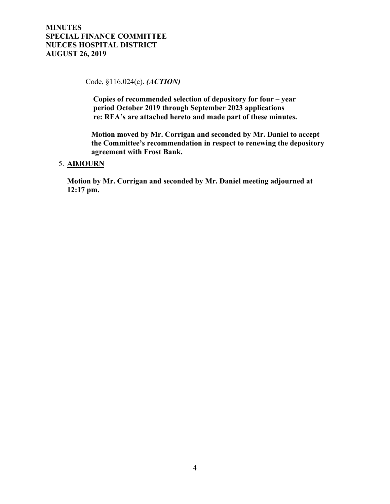Code, §116.024(c). *(ACTION)*

 **Copies of recommended selection of depository for four – year period October 2019 through September 2023 applications re: RFA's are attached hereto and made part of these minutes.** 

 **Motion moved by Mr. Corrigan and seconded by Mr. Daniel to accept the Committee's recommendation in respect to renewing the depository agreement with Frost Bank.**

#### 5. **ADJOURN**

**Motion by Mr. Corrigan and seconded by Mr. Daniel meeting adjourned at 12:17 pm.**